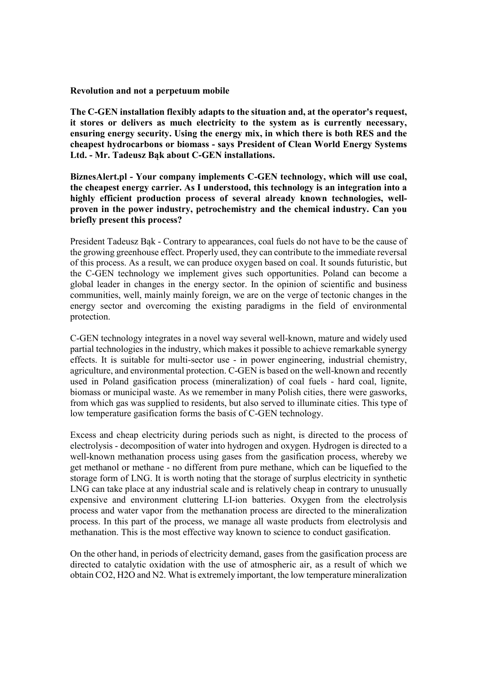Revolution and not a perpetuum mobile

The C-GEN installation flexibly adapts to the situation and, at the operator's request, it stores or delivers as much electricity to the system as is currently necessary, ensuring energy security. Using the energy mix, in which there is both RES and the cheapest hydrocarbons or biomass - says President of Clean World Energy Systems Ltd. - Mr. Tadeusz Bąk about C-GEN installations.

BiznesAlert.pl - Your company implements C-GEN technology, which will use coal, the cheapest energy carrier. As I understood, this technology is an integration into a highly efficient production process of several already known technologies, wellproven in the power industry, petrochemistry and the chemical industry. Can you briefly present this process?

President Tadeusz Bąk - Contrary to appearances, coal fuels do not have to be the cause of the growing greenhouse effect. Properly used, they can contribute to the immediate reversal of this process. As a result, we can produce oxygen based on coal. It sounds futuristic, but the C-GEN technology we implement gives such opportunities. Poland can become a global leader in changes in the energy sector. In the opinion of scientific and business communities, well, mainly mainly foreign, we are on the verge of tectonic changes in the energy sector and overcoming the existing paradigms in the field of environmental protection.

C-GEN technology integrates in a novel way several well-known, mature and widely used partial technologies in the industry, which makes it possible to achieve remarkable synergy effects. It is suitable for multi-sector use - in power engineering, industrial chemistry, agriculture, and environmental protection. C-GEN is based on the well-known and recently used in Poland gasification process (mineralization) of coal fuels - hard coal, lignite, biomass or municipal waste. As we remember in many Polish cities, there were gasworks, from which gas was supplied to residents, but also served to illuminate cities. This type of low temperature gasification forms the basis of C-GEN technology.

Excess and cheap electricity during periods such as night, is directed to the process of electrolysis - decomposition of water into hydrogen and oxygen. Hydrogen is directed to a well-known methanation process using gases from the gasification process, whereby we get methanol or methane - no different from pure methane, which can be liquefied to the storage form of LNG. It is worth noting that the storage of surplus electricity in synthetic LNG can take place at any industrial scale and is relatively cheap in contrary to unusually expensive and environment cluttering LI-ion batteries. Oxygen from the electrolysis process and water vapor from the methanation process are directed to the mineralization process. In this part of the process, we manage all waste products from electrolysis and methanation. This is the most effective way known to science to conduct gasification.

On the other hand, in periods of electricity demand, gases from the gasification process are directed to catalytic oxidation with the use of atmospheric air, as a result of which we obtain CO2, H2O and N2. What is extremely important, the low temperature mineralization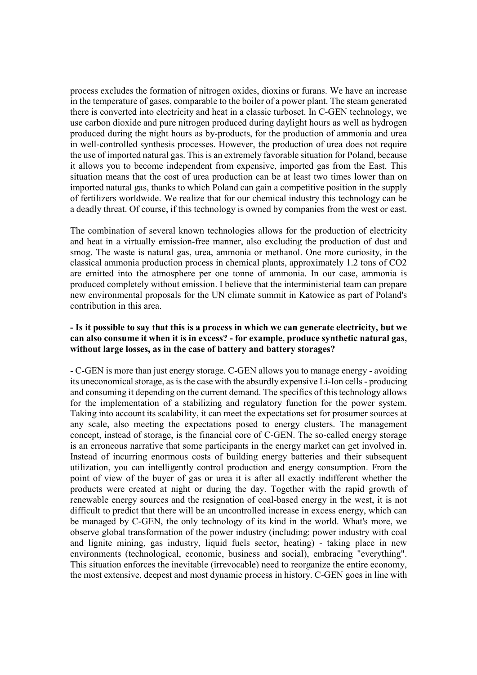process excludes the formation of nitrogen oxides, dioxins or furans. We have an increase in the temperature of gases, comparable to the boiler of a power plant. The steam generated there is converted into electricity and heat in a classic turboset. In C-GEN technology, we use carbon dioxide and pure nitrogen produced during daylight hours as well as hydrogen produced during the night hours as by-products, for the production of ammonia and urea in well-controlled synthesis processes. However, the production of urea does not require the use of imported natural gas. This is an extremely favorable situation for Poland, because it allows you to become independent from expensive, imported gas from the East. This situation means that the cost of urea production can be at least two times lower than on imported natural gas, thanks to which Poland can gain a competitive position in the supply of fertilizers worldwide. We realize that for our chemical industry this technology can be a deadly threat. Of course, if this technology is owned by companies from the west or east.

The combination of several known technologies allows for the production of electricity and heat in a virtually emission-free manner, also excluding the production of dust and smog. The waste is natural gas, urea, ammonia or methanol. One more curiosity, in the classical ammonia production process in chemical plants, approximately 1.2 tons of CO2 are emitted into the atmosphere per one tonne of ammonia. In our case, ammonia is produced completely without emission. I believe that the interministerial team can prepare new environmental proposals for the UN climate summit in Katowice as part of Poland's contribution in this area.

# - Is it possible to say that this is a process in which we can generate electricity, but we can also consume it when it is in excess? - for example, produce synthetic natural gas, without large losses, as in the case of battery and battery storages?

- C-GEN is more than just energy storage. C-GEN allows you to manage energy - avoiding its uneconomical storage, as is the case with the absurdly expensive Li-Ion cells - producing and consuming it depending on the current demand. The specifics of this technology allows for the implementation of a stabilizing and regulatory function for the power system. Taking into account its scalability, it can meet the expectations set for prosumer sources at any scale, also meeting the expectations posed to energy clusters. The management concept, instead of storage, is the financial core of C-GEN. The so-called energy storage is an erroneous narrative that some participants in the energy market can get involved in. Instead of incurring enormous costs of building energy batteries and their subsequent utilization, you can intelligently control production and energy consumption. From the point of view of the buyer of gas or urea it is after all exactly indifferent whether the products were created at night or during the day. Together with the rapid growth of renewable energy sources and the resignation of coal-based energy in the west, it is not difficult to predict that there will be an uncontrolled increase in excess energy, which can be managed by C-GEN, the only technology of its kind in the world. What's more, we observe global transformation of the power industry (including: power industry with coal and lignite mining, gas industry, liquid fuels sector, heating) - taking place in new environments (technological, economic, business and social), embracing "everything". This situation enforces the inevitable (irrevocable) need to reorganize the entire economy, the most extensive, deepest and most dynamic process in history. C-GEN goes in line with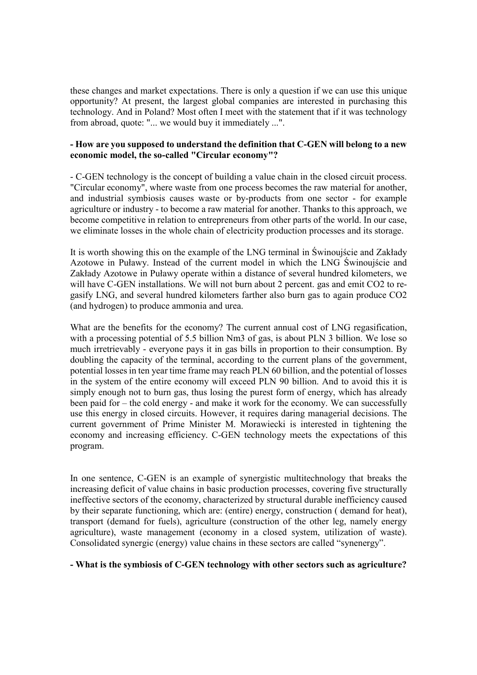these changes and market expectations. There is only a question if we can use this unique opportunity? At present, the largest global companies are interested in purchasing this technology. And in Poland? Most often I meet with the statement that if it was technology from abroad, quote: "... we would buy it immediately ...".

#### - How are you supposed to understand the definition that C-GEN will belong to a new economic model, the so-called "Circular economy"?

- C-GEN technology is the concept of building a value chain in the closed circuit process. "Circular economy", where waste from one process becomes the raw material for another, and industrial symbiosis causes waste or by-products from one sector - for example agriculture or industry - to become a raw material for another. Thanks to this approach, we become competitive in relation to entrepreneurs from other parts of the world. In our case, we eliminate losses in the whole chain of electricity production processes and its storage.

It is worth showing this on the example of the LNG terminal in Świnoujście and Zakłady Azotowe in Puławy. Instead of the current model in which the LNG Świnoujście and Zakłady Azotowe in Puławy operate within a distance of several hundred kilometers, we will have C-GEN installations. We will not burn about 2 percent. gas and emit CO2 to regasify LNG, and several hundred kilometers farther also burn gas to again produce CO2 (and hydrogen) to produce ammonia and urea.

What are the benefits for the economy? The current annual cost of LNG regasification, with a processing potential of 5.5 billion Nm3 of gas, is about PLN 3 billion. We lose so much irretrievably - everyone pays it in gas bills in proportion to their consumption. By doubling the capacity of the terminal, according to the current plans of the government, potential losses in ten year time frame may reach PLN 60 billion, and the potential of losses in the system of the entire economy will exceed PLN 90 billion. And to avoid this it is simply enough not to burn gas, thus losing the purest form of energy, which has already been paid for – the cold energy - and make it work for the economy. We can successfully use this energy in closed circuits. However, it requires daring managerial decisions. The current government of Prime Minister M. Morawiecki is interested in tightening the economy and increasing efficiency. C-GEN technology meets the expectations of this program.

In one sentence, C-GEN is an example of synergistic multitechnology that breaks the increasing deficit of value chains in basic production processes, covering five structurally ineffective sectors of the economy, characterized by structural durable inefficiency caused by their separate functioning, which are: (entire) energy, construction ( demand for heat), transport (demand for fuels), agriculture (construction of the other leg, namely energy agriculture), waste management (economy in a closed system, utilization of waste). Consolidated synergic (energy) value chains in these sectors are called "synenergy".

#### - What is the symbiosis of C-GEN technology with other sectors such as agriculture?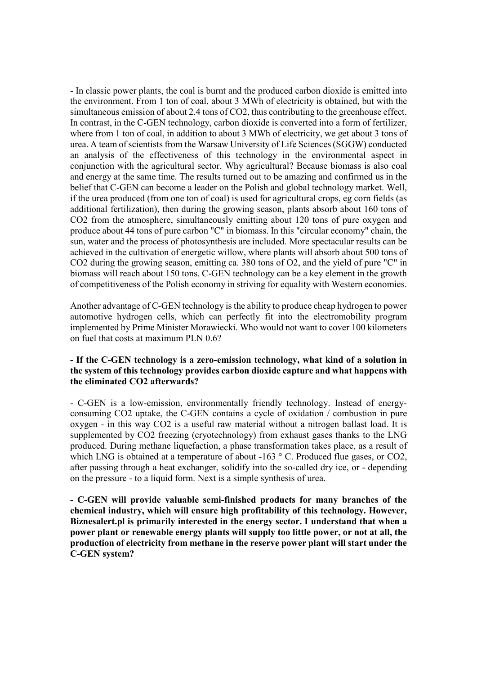- In classic power plants, the coal is burnt and the produced carbon dioxide is emitted into the environment. From 1 ton of coal, about 3 MWh of electricity is obtained, but with the simultaneous emission of about 2.4 tons of CO2, thus contributing to the greenhouse effect. In contrast, in the C-GEN technology, carbon dioxide is converted into a form of fertilizer, where from 1 ton of coal, in addition to about 3 MWh of electricity, we get about 3 tons of urea. A team of scientists from the Warsaw University of Life Sciences (SGGW) conducted an analysis of the effectiveness of this technology in the environmental aspect in conjunction with the agricultural sector. Why agricultural? Because biomass is also coal and energy at the same time. The results turned out to be amazing and confirmed us in the belief that C-GEN can become a leader on the Polish and global technology market. Well, if the urea produced (from one ton of coal) is used for agricultural crops, eg corn fields (as additional fertilization), then during the growing season, plants absorb about 160 tons of CO2 from the atmosphere, simultaneously emitting about 120 tons of pure oxygen and produce about 44 tons of pure carbon "C" in biomass. In this "circular economy" chain, the sun, water and the process of photosynthesis are included. More spectacular results can be achieved in the cultivation of energetic willow, where plants will absorb about 500 tons of CO2 during the growing season, emitting ca. 380 tons of O2, and the yield of pure "C" in biomass will reach about 150 tons. C-GEN technology can be a key element in the growth of competitiveness of the Polish economy in striving for equality with Western economies.

Another advantage of C-GEN technology is the ability to produce cheap hydrogen to power automotive hydrogen cells, which can perfectly fit into the electromobility program implemented by Prime Minister Morawiecki. Who would not want to cover 100 kilometers on fuel that costs at maximum PLN 0.6?

## - If the C-GEN technology is a zero-emission technology, what kind of a solution in the system of this technology provides carbon dioxide capture and what happens with the eliminated CO2 afterwards?

- C-GEN is a low-emission, environmentally friendly technology. Instead of energyconsuming CO2 uptake, the C-GEN contains a cycle of oxidation / combustion in pure oxygen - in this way CO2 is a useful raw material without a nitrogen ballast load. It is supplemented by CO2 freezing (cryotechnology) from exhaust gases thanks to the LNG produced. During methane liquefaction, a phase transformation takes place, as a result of which LNG is obtained at a temperature of about -163 ° C. Produced flue gases, or CO2, after passing through a heat exchanger, solidify into the so-called dry ice, or - depending on the pressure - to a liquid form. Next is a simple synthesis of urea.

- C-GEN will provide valuable semi-finished products for many branches of the chemical industry, which will ensure high profitability of this technology. However, Biznesalert.pl is primarily interested in the energy sector. I understand that when a power plant or renewable energy plants will supply too little power, or not at all, the production of electricity from methane in the reserve power plant will start under the C-GEN system?